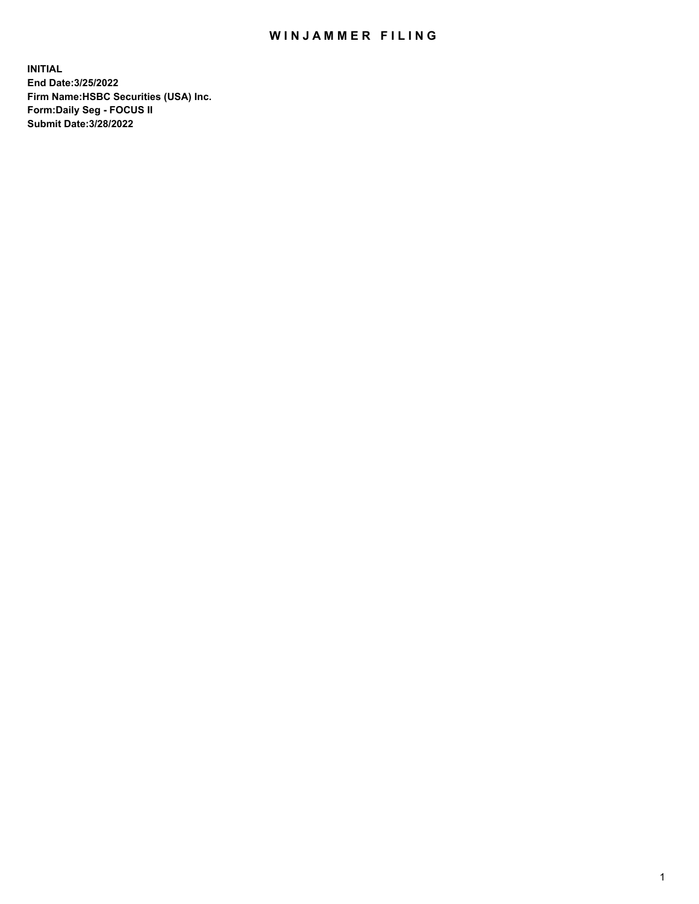## WIN JAMMER FILING

**INITIAL End Date:3/25/2022 Firm Name:HSBC Securities (USA) Inc. Form:Daily Seg - FOCUS II Submit Date:3/28/2022**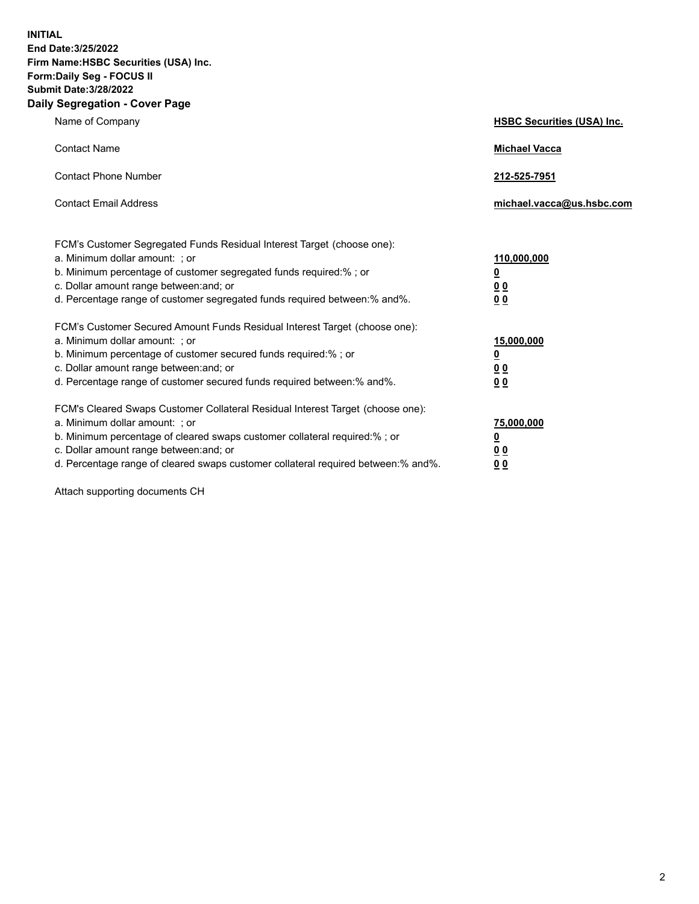**INITIAL End Date:3/25/2022 Firm Name:HSBC Securities (USA) Inc. Form:Daily Seg - FOCUS II Submit Date:3/28/2022 Daily Segregation - Cover Page**

| Name of Company                                                                                                                                                                                                                                                                                                                | <b>HSBC Securities (USA) Inc.</b>                                           |
|--------------------------------------------------------------------------------------------------------------------------------------------------------------------------------------------------------------------------------------------------------------------------------------------------------------------------------|-----------------------------------------------------------------------------|
| <b>Contact Name</b>                                                                                                                                                                                                                                                                                                            | <b>Michael Vacca</b>                                                        |
| <b>Contact Phone Number</b>                                                                                                                                                                                                                                                                                                    | 212-525-7951                                                                |
| <b>Contact Email Address</b>                                                                                                                                                                                                                                                                                                   | michael.vacca@us.hsbc.com                                                   |
| FCM's Customer Segregated Funds Residual Interest Target (choose one):<br>a. Minimum dollar amount: ; or<br>b. Minimum percentage of customer segregated funds required:%; or<br>c. Dollar amount range between: and; or<br>d. Percentage range of customer segregated funds required between: % and %.                        | 110,000,000<br>$\underline{\mathbf{0}}$<br>0 <sub>0</sub><br>0 <sub>0</sub> |
| FCM's Customer Secured Amount Funds Residual Interest Target (choose one):<br>a. Minimum dollar amount: ; or<br>b. Minimum percentage of customer secured funds required:%; or<br>c. Dollar amount range between: and; or<br>d. Percentage range of customer secured funds required between: % and %.                          | 15,000,000<br><u>0</u><br>0 <sub>0</sub><br>0 <sub>0</sub>                  |
| FCM's Cleared Swaps Customer Collateral Residual Interest Target (choose one):<br>a. Minimum dollar amount: ; or<br>b. Minimum percentage of cleared swaps customer collateral required:% ; or<br>c. Dollar amount range between: and; or<br>d. Percentage range of cleared swaps customer collateral required between:% and%. | 75,000,000<br><u>0</u><br><u>00</u><br>00                                   |

Attach supporting documents CH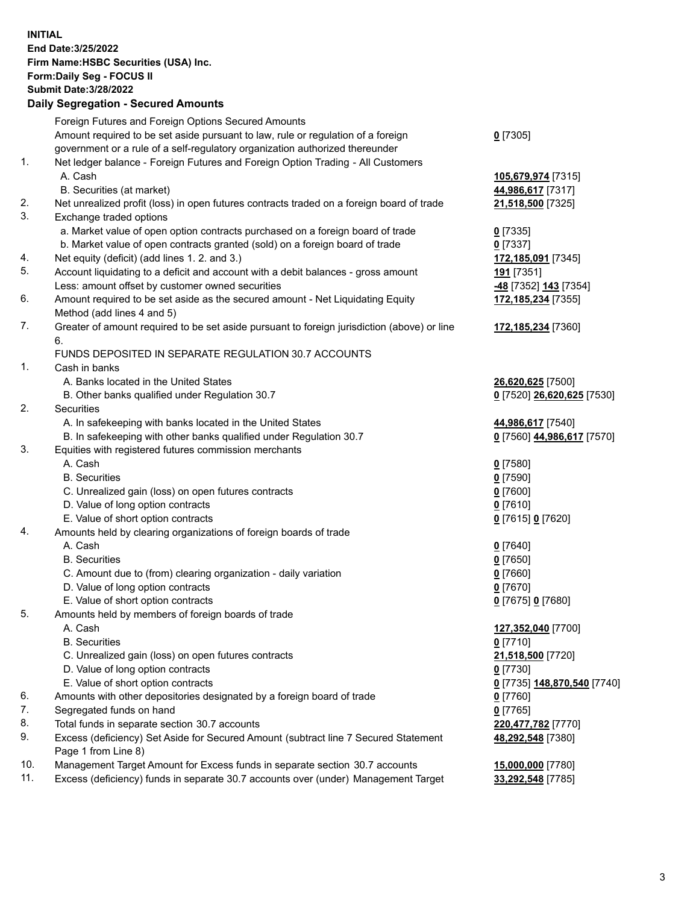**INITIAL End Date:3/25/2022 Firm Name:HSBC Securities (USA) Inc. Form:Daily Seg - FOCUS II Submit Date:3/28/2022 Daily Segregation - Secured Amounts** Foreign Futures and Foreign Options Secured Amounts Amount required to be set aside pursuant to law, rule or regulation of a foreign government or a rule of a self-regulatory organization authorized thereunder 1. Net ledger balance - Foreign Futures and Foreign Option Trading - All Customers A. Cash **105,679,974** [7315] B. Securities (at market) **44,986,617** [7317]

2. Net unrealized profit (loss) in open futures contracts traded on a foreign board of trade **21,518,500** [7325] 3. Exchange traded options

**0** [7305]

**172,185,234** [7355]

**172,185,234** [7360]

**48,292,548** [7380]

- a. Market value of open option contracts purchased on a foreign board of trade **0** [7335]
- b. Market value of open contracts granted (sold) on a foreign board of trade **0** [7337]
- 4. Net equity (deficit) (add lines 1. 2. and 3.) **172,185,091** [7345]
- 5. Account liquidating to a deficit and account with a debit balances gross amount **191** [7351] Less: amount offset by customer owned securities **-48** [7352] **143** [7354]
- 6. Amount required to be set aside as the secured amount Net Liquidating Equity Method (add lines 4 and 5)
- 7. Greater of amount required to be set aside pursuant to foreign jurisdiction (above) or line 6.

## FUNDS DEPOSITED IN SEPARATE REGULATION 30.7 ACCOUNTS

- 1. Cash in banks
	- A. Banks located in the United States **26,620,625** [7500]
	- B. Other banks qualified under Regulation 30.7 **0** [7520] **26,620,625** [7530]
- 2. Securities
	- A. In safekeeping with banks located in the United States **44,986,617** [7540]
	- B. In safekeeping with other banks qualified under Regulation 30.7 **0** [7560] **44,986,617** [7570]
- 3. Equities with registered futures commission merchants
	- A. Cash **0** [7580]
	- B. Securities **0** [7590]
	- C. Unrealized gain (loss) on open futures contracts **0** [7600]
	- D. Value of long option contracts **0** [7610]
	- E. Value of short option contracts **0** [7615] **0** [7620]
- 4. Amounts held by clearing organizations of foreign boards of trade
	- A. Cash **0** [7640]
	- B. Securities **0** [7650]
	- C. Amount due to (from) clearing organization daily variation **0** [7660]
	- D. Value of long option contracts **0** [7670]
	- E. Value of short option contracts **0** [7675] **0** [7680]
- 5. Amounts held by members of foreign boards of trade
	- A. Cash **127,352,040** [7700]
	- B. Securities **0** [7710]
	- C. Unrealized gain (loss) on open futures contracts **21,518,500** [7720]
	- D. Value of long option contracts **0** [7730]
	- E. Value of short option contracts **0** [7735] **148,870,540** [7740]
- 6. Amounts with other depositories designated by a foreign board of trade **0** [7760]
- 7. Segregated funds on hand **0** [7765]
- 8. Total funds in separate section 30.7 accounts **220,477,782** [7770]
- 9. Excess (deficiency) Set Aside for Secured Amount (subtract line 7 Secured Statement Page 1 from Line 8)
- 10. Management Target Amount for Excess funds in separate section 30.7 accounts **15,000,000** [7780]
- 11. Excess (deficiency) funds in separate 30.7 accounts over (under) Management Target **33,292,548** [7785]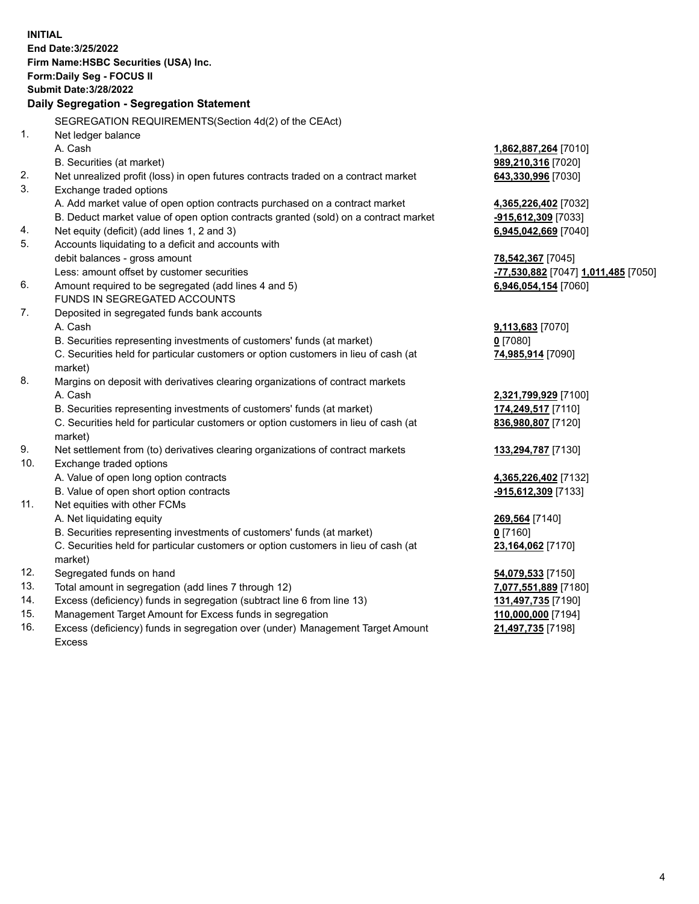**INITIAL End Date:3/25/2022 Firm Name:HSBC Securities (USA) Inc. Form:Daily Seg - FOCUS II Submit Date:3/28/2022 Daily Segregation - Segregation Statement** SEGREGATION REQUIREMENTS(Section 4d(2) of the CEAct) 1. Net ledger balance A. Cash **1,862,887,264** [7010] B. Securities (at market) **989,210,316** [7020] 2. Net unrealized profit (loss) in open futures contracts traded on a contract market **643,330,996** [7030] 3. Exchange traded options A. Add market value of open option contracts purchased on a contract market **4,365,226,402** [7032] B. Deduct market value of open option contracts granted (sold) on a contract market **-915,612,309** [7033] 4. Net equity (deficit) (add lines 1, 2 and 3) **6,945,042,669** [7040] 5. Accounts liquidating to a deficit and accounts with debit balances - gross amount **78,542,367** [7045] Less: amount offset by customer securities **-77,530,882** [7047] **1,011,485** [7050] 6. Amount required to be segregated (add lines 4 and 5) **6,946,054,154** [7060] FUNDS IN SEGREGATED ACCOUNTS 7. Deposited in segregated funds bank accounts A. Cash **9,113,683** [7070] B. Securities representing investments of customers' funds (at market) **0** [7080] C. Securities held for particular customers or option customers in lieu of cash (at market) **74,985,914** [7090] 8. Margins on deposit with derivatives clearing organizations of contract markets A. Cash **2,321,799,929** [7100] B. Securities representing investments of customers' funds (at market) **174,249,517** [7110] C. Securities held for particular customers or option customers in lieu of cash (at market) **836,980,807** [7120] 9. Net settlement from (to) derivatives clearing organizations of contract markets **133,294,787** [7130] 10. Exchange traded options A. Value of open long option contracts **4,365,226,402** [7132] B. Value of open short option contracts **-915,612,309** [7133] 11. Net equities with other FCMs A. Net liquidating equity **269,564** [7140] B. Securities representing investments of customers' funds (at market) **0** [7160] C. Securities held for particular customers or option customers in lieu of cash (at market) **23,164,062** [7170] 12. Segregated funds on hand **54,079,533** [7150] 13. Total amount in segregation (add lines 7 through 12) **7,077,551,889** [7180] 14. Excess (deficiency) funds in segregation (subtract line 6 from line 13) **131,497,735** [7190] 15. Management Target Amount for Excess funds in segregation **110,000,000** [7194] 16. Excess (deficiency) funds in segregation over (under) Management Target Amount **21,497,735** [7198]

Excess